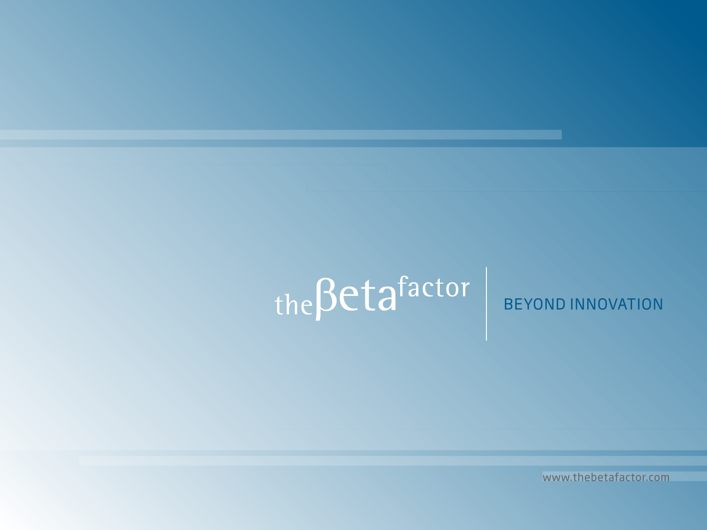# $the \beta eta$  factor

# BEYOND INNOVATION

www.thebetafactor.com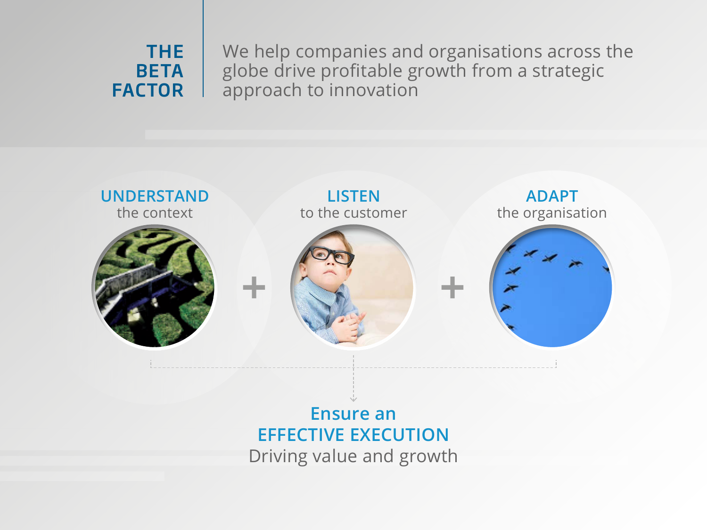## THE **BETA FACTOR**

We help companies and organisations across the globe drive profitable growth from a strategic approach to innovation



**EFFECTIVE EXECUTION** Driving value and growth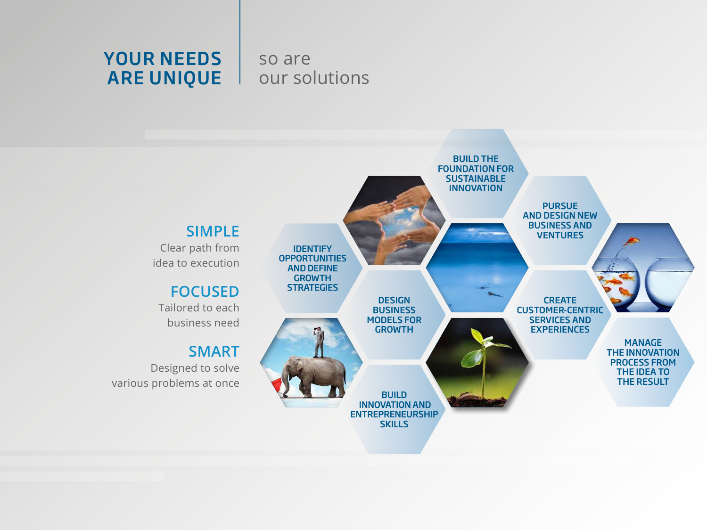## YOUR NEEDS ARE UNIQUE

## so are our solutions

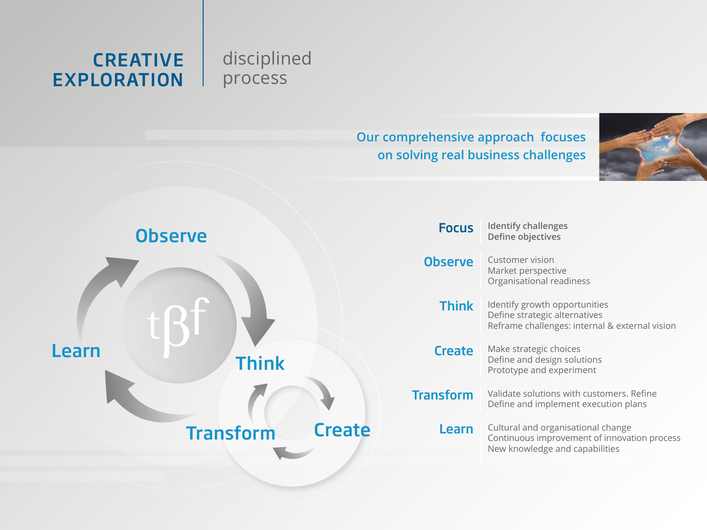## **CREATIVE** EXPLORATION

## disciplined process

## **Our comprehensive approach focuses on solving real business challenges**



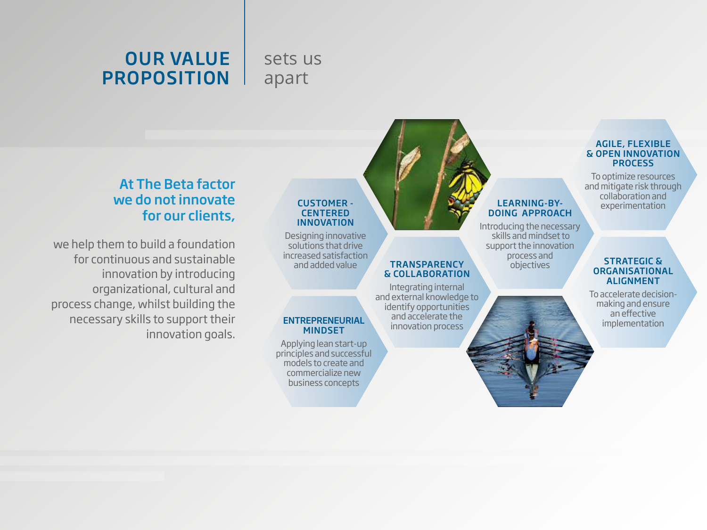# OUR VALUE PROPOSITION

## sets us apart

### At The Beta factor we do not innovate for our clients,

we help them to build a foundation for continuous and sustainable innovation by introducing organizational, cultural and process change, whilst building the necessary skills to support their innovation goals.

#### CUSTOMER - **CENTERED** INNOVATION

Designing innovative solutions that drive increased satisfaction and added value **TRANSPARENCY** 

# ENTREPRENEURIAL implementation implementation

Applying lean start-up principles and successful models to create and commercialize new business concepts

#### LEARNING-BY-DOING APPROACH

Introducing the necessary skills and mindset to support the innovation process and **objectives** 

Integrating internal and external knowledge to identify opportunities and accelerate the innovation process

& COLLABORATION

#### AGILE, FLEXIBLE & OPEN INNOVATION PROCESS

To optimize resources and mitigate risk through collaboration and experimentation

#### STRATEGIC & ORGANISATIONAL ALIGNMENT

To accelerate decisionmaking and ensure an effective<br>implementation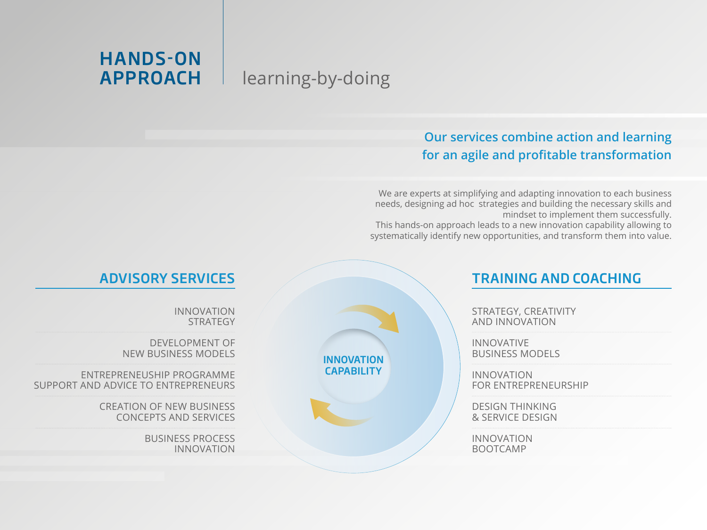# learning-by-doing

HANDS-ON

APPROACH

## **Our services combine action and learning for an agile and profitable transformation**

We are experts at simplifying and adapting innovation to each business needs, designing ad hoc strategies and building the necessary skills and mindset to implement them successfully.

This hands-on approach leads to a new innovation capability allowing to systematically identify new opportunities, and transform them into value.

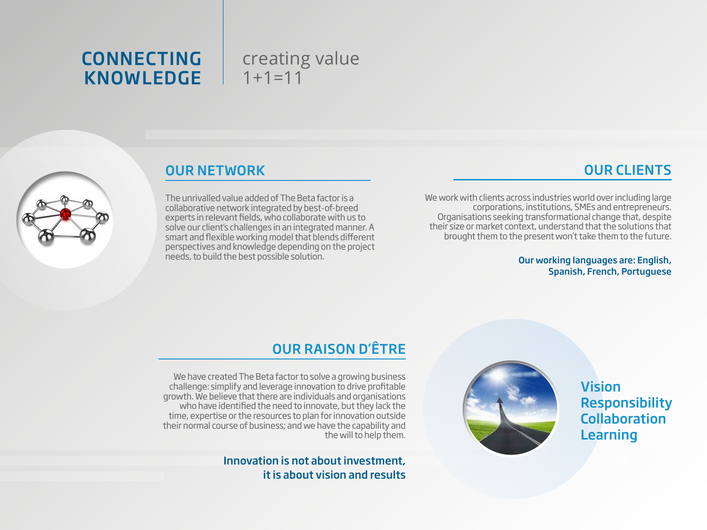## CONNECTING KNOWLEDGE

## creating value  $1+1=11$



## OUR NETWORK

The unrivalled value added of The Beta factor is a collaborative network integrated by best-of-breed experts in relevant fields, who collaborate with us to solve our client's challenges in an integrated manner. A smart and flexible working model that blends different perspectives and knowledge depending on the project

## OUR CLIENTS

We work with clients across industries world over including large corporations, institutions, SMEs and entrepreneurs. Organisations seeking transformational change that, despite their size or market context, understand that the solutions that brought them to the present won't take them to the future.

> Our working languages are: English, Spanish, French, Portuguese

## OUR RAISON D'ÊTRE

We have created The Beta factor to solve a growing business challenge: simplify and leverage innovation to drive profitable growth. We believe that there are individuals and organisations who have identified the need to innovate, but they lack the time, expertise or the resources to plan for innovation outside their normal course of business; and we have the capability and the will to help them.

> Innovation is not about investment, it is about vision and results



Vision Responsibility Collaboration Learning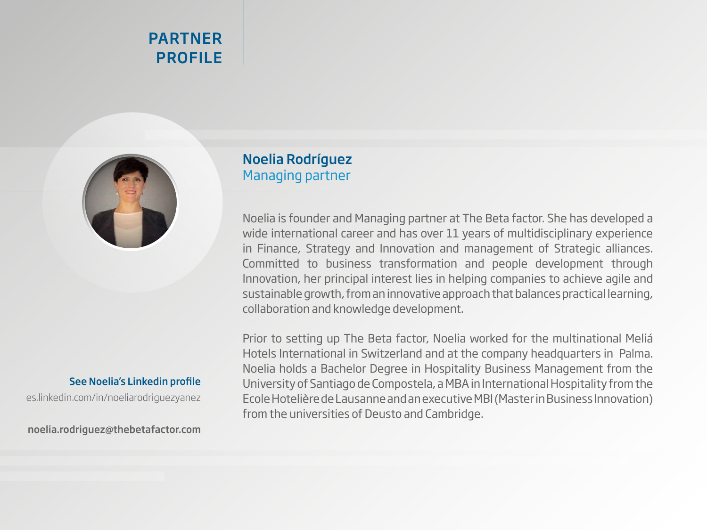## PARTNER PROFILE



# See Noelia's Linkedin profile

[es.linkedin.com/in/noeliarodriguezyanez](http://es.linkedin.com/in/noeliarodriguezyanez)

noelia.rodriguez@thebetafactor.com

## Noelia Rodríguez Managing partner

Noelia is founder and Managing partner at The Beta factor. She has developed a wide international career and has over 11 years of multidisciplinary experience in Finance, Strategy and Innovation and management of Strategic alliances. Committed to business transformation and people development through Innovation, her principal interest lies in helping companies to achieve agile and sustainable growth, from an innovative approach that balances practical learning, collaboration and knowledge development.

Prior to setting up The Beta factor, Noelia worked for the multinational Meliá Hotels International in Switzerland and at the company headquarters in Palma. Noelia holds a Bachelor Degree in Hospitality Business Management from the University of Santiago de Compostela, a MBA in International Hospitality from the Ecole Hotelière de Lausanne and an executive MBI (Master in Business Innovation) from the universities of Deusto and Cambridge.